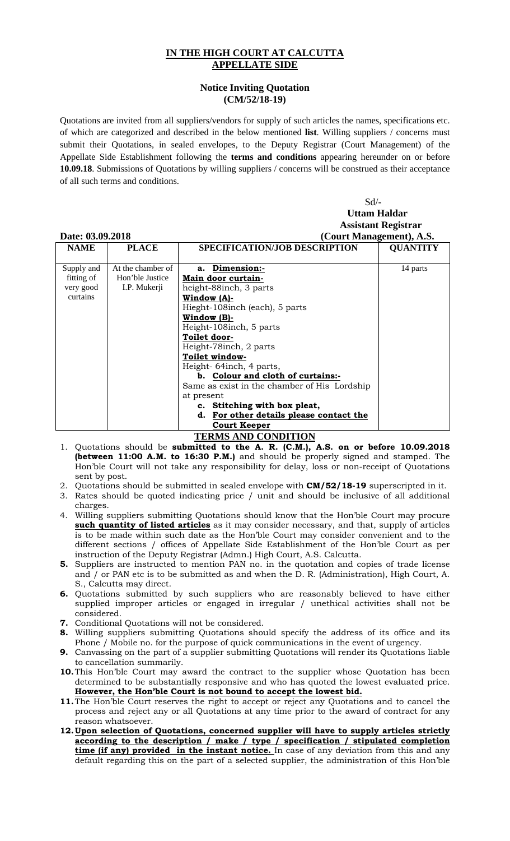## **IN THE HIGH COURT AT CALCUTTA APPELLATE SIDE**

## **Notice Inviting Quotation (CM/52/18-19)**

Quotations are invited from all suppliers/vendors for supply of such articles the names, specifications etc. of which are categorized and described in the below mentioned **list**. Willing suppliers / concerns must submit their Quotations, in sealed envelopes, to the Deputy Registrar (Court Management) of the Appellate Side Establishment following the **terms and conditions** appearing hereunder on or before **10.09.18**. Submissions of Quotations by willing suppliers / concerns will be construed as their acceptance of all such terms and conditions.

|                  |                   | $Sd$ /-                                      |                 |
|------------------|-------------------|----------------------------------------------|-----------------|
|                  |                   | <b>Uttam Haldar</b>                          |                 |
|                  |                   | <b>Assistant Registrar</b>                   |                 |
| Date: 03.09.2018 |                   | (Court Management), A.S.                     |                 |
| <b>NAME</b>      | <b>PLACE</b>      | <b>SPECIFICATION/JOB DESCRIPTION</b>         | <b>QUANTITY</b> |
|                  |                   |                                              |                 |
| Supply and       | At the chamber of | Dimension:-<br>a.                            | 14 parts        |
| fitting of       | Hon'ble Justice   | Main door curtain-                           |                 |
| very good        | I.P. Mukerji      | height-88inch, 3 parts                       |                 |
| curtains         |                   | <u>Window (A)-</u>                           |                 |
|                  |                   | Hieght-108 inch (each), 5 parts              |                 |
|                  |                   | Window (B)-                                  |                 |
|                  |                   | Height-108inch, 5 parts                      |                 |
|                  |                   | Toilet door-                                 |                 |
|                  |                   | Height-78inch, 2 parts                       |                 |
|                  |                   | Toilet window-                               |                 |
|                  |                   | Height-64inch, 4 parts,                      |                 |
|                  |                   | b. Colour and cloth of curtains:-            |                 |
|                  |                   | Same as exist in the chamber of His Lordship |                 |
|                  |                   | at present                                   |                 |
|                  |                   | c. Stitching with box pleat,                 |                 |
|                  |                   | d. For other details please contact the      |                 |
|                  |                   | <b>Court Keeper</b>                          |                 |

## **TERMS AND CONDITION**

- 1. Quotations should be **submitted to the A. R. (C.M.), A.S. on or before 10.09.2018 (between 11:00 A.M. to 16:30 P.M.)** and should be properly signed and stamped. The Hon'ble Court will not take any responsibility for delay, loss or non-receipt of Quotations sent by post.
- 2. Quotations should be submitted in sealed envelope with **CM/52/18-19** superscripted in it.
- 3. Rates should be quoted indicating price / unit and should be inclusive of all additional charges.
- 4. Willing suppliers submitting Quotations should know that the Hon'ble Court may procure **such quantity of listed articles** as it may consider necessary, and that, supply of articles is to be made within such date as the Hon'ble Court may consider convenient and to the different sections / offices of Appellate Side Establishment of the Hon'ble Court as per instruction of the Deputy Registrar (Admn.) High Court, A.S. Calcutta.
- **5.** Suppliers are instructed to mention PAN no. in the quotation and copies of trade license and / or PAN etc is to be submitted as and when the D. R. (Administration), High Court, A. S., Calcutta may direct.
- **6.** Quotations submitted by such suppliers who are reasonably believed to have either supplied improper articles or engaged in irregular / unethical activities shall not be considered.
- **7.** Conditional Quotations will not be considered.
- **8.** Willing suppliers submitting Quotations should specify the address of its office and its Phone / Mobile no. for the purpose of quick communications in the event of urgency.
- **9.** Canvassing on the part of a supplier submitting Quotations will render its Quotations liable to cancellation summarily.
- **10.**This Hon'ble Court may award the contract to the supplier whose Quotation has been determined to be substantially responsive and who has quoted the lowest evaluated price. **However, the Hon'ble Court is not bound to accept the lowest bid.**
- **11.**The Hon'ble Court reserves the right to accept or reject any Quotations and to cancel the process and reject any or all Quotations at any time prior to the award of contract for any reason whatsoever.
- **12.Upon selection of Quotations, concerned supplier will have to supply articles strictly according to the description / make / type / specification / stipulated completion time (if any) provided in the instant notice.** In case of any deviation from this and any default regarding this on the part of a selected supplier, the administration of this Hon'ble